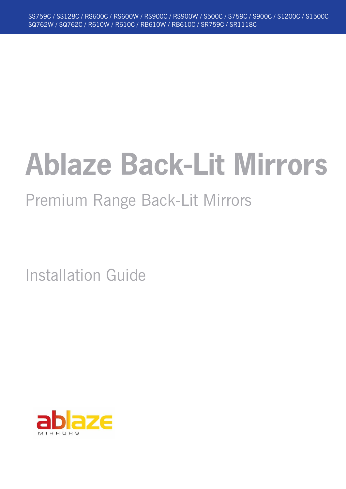# **Ablaze Back-Lit Mirrors**

# Premium Range Back-Lit Mirrors

Installation Guide

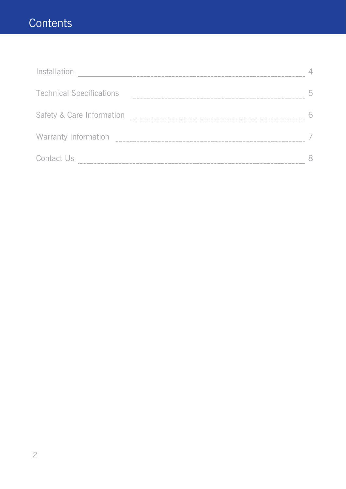## **Contents**

| Installation                    |  |
|---------------------------------|--|
| <b>Technical Specifications</b> |  |
| Safety & Care Information       |  |
| <b>Warranty Information</b>     |  |
| Contact Us                      |  |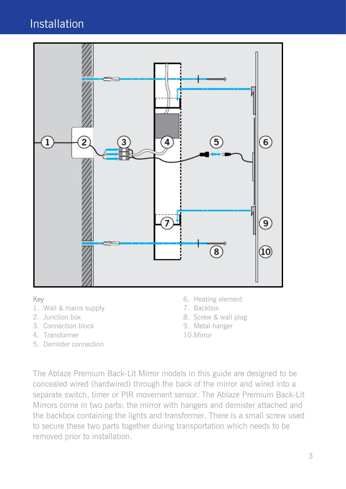### Installation



#### Key

- 1. Wall & mains supply
- 2. Junction box
- 3. Connection block
- 4. Transformer
- 5. Demister connection
- 6. Heating element
- 7. Backbox
- 8. Screw & wall plug
- 9. Metal hanger
- 10. Mirror

The Ablaze Premium Back-Lit Mirror models in this guide are designed to be concealed wired (hardwired) through the back of the mirror and wired into a separate switch, timer or PIR movement sensor. The Ablaze Premium Back-Lit Mirrors come in two parts: the mirror with hangers and demister attached and the backbox containing the lights and transformer. There is a small screw used to secure these two parts together during transportation which needs to be removed prior to installation.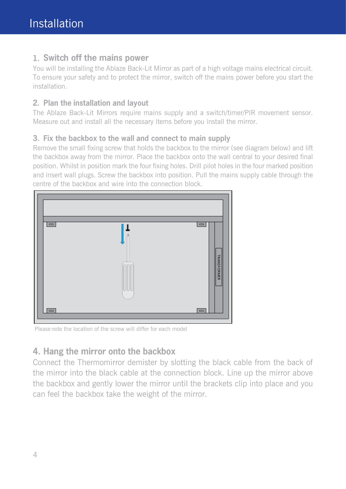#### 1. Switch off the mains power

You will be installing the Ablaze Back-Lit Mirror as part of a high voltage mains electrical circuit. To ensure your safety and to protect the mirror, switch off the mains power before you start the installation.

#### 2. Plan the installation and layout

The Ablaze Back-Lit Mirrors require mains supply and a switch/timer/PIR movement sensor. Measure out and install all the necessary items before you install the mirror.

#### 3. Fix the backbox to the wall and connect to main supply

Remove the small fixing screw that holds the backbox to the mirror (see diagram below) and lift the backbox away from the mirror. Place the backbox onto the wall central to your desired final position. Whilst in position mark the four fixing holes. Drill pilot holes in the four marked position and insert wall plugs. Screw the backbox into position. Pull the mains supply cable through the centre of the backbox and wire into the connection block.



Please note the location of the screw will differ for each model

#### 4. Hang the mirror onto the backbox

Connect the Thermomirror demister by slotting the black cable from the back of the mirror into the black cable at the connection block. Line up the mirror above the backbox and gently lower the mirror until the brackets clip into place and you can feel the backbox take the weight of the mirror.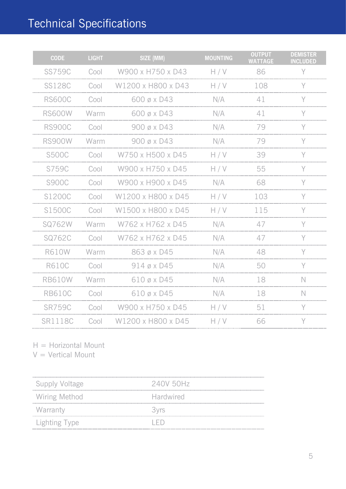# Technical Specifications

| <b>CODE</b>   | <b>LIGHT</b> | SIZE (MM)          | <b>MOUNTING</b> | <b>OUTPUT</b><br><b>WATTAGE</b> | <b>DEMISTER</b><br><b>INCLUDED</b> |
|---------------|--------------|--------------------|-----------------|---------------------------------|------------------------------------|
| <b>SS759C</b> | Cool         | W900 x H750 x D43  | H/V             | 86                              | Y                                  |
| <b>SS128C</b> | Cool         | W1200 x H800 x D43 | H/V             | 108                             | Y                                  |
| <b>RS600C</b> | Cool         | 600 ø x D43        | N/A             | 41                              | Y                                  |
| <b>RS600W</b> | Warm         | 600 ø x D43        | N/A             | 41                              | Y                                  |
| <b>RS900C</b> | Cool         | 900 ø x D43        | N/A             | 79                              | Y                                  |
| <b>RS900W</b> | Warm         | 900 ø x D43        | N/A             | 79                              | Y                                  |
| <b>S500C</b>  | Cool         | W750 x H500 x D45  | H/V             | 39                              | Y                                  |
| S759C         | Cool         | W900 x H750 x D45  | H/V             | 55                              | Y                                  |
| <b>S900C</b>  | Cool         | W900 x H900 x D45  | N/A             | 68                              | Y                                  |
| S1200C        | Cool         | W1200 x H800 x D45 | H/V             | 103                             | Υ                                  |
| S1500C        | Cool         | W1500 x H800 x D45 | H/V             | 115                             | Y                                  |
| SQ762W        | Warm         | W762 x H762 x D45  | N/A             | 47                              | Y                                  |
| SQ762C        | Cool         | W762 x H762 x D45  | N/A             | 47                              | Y                                  |
| <b>R610W</b>  | Warm         | 863 ø x D45        | N/A             | 48                              | Y                                  |
| <b>R610C</b>  | Cool         | $914$ ø x D45      | N/A             | 50                              | Y                                  |
| <b>RB610W</b> | Warm         | $610$ ø x D45      | N/A             | 18                              | $\mathbb N$                        |
| <b>RB610C</b> | Cool         | $610$ ø x D45      | N/A             | 18                              | $\mathbb N$                        |
| <b>SR759C</b> | Cool         | W900 x H750 x D45  | H/V             | 51                              | Υ                                  |
| SR1118C       | Cool         | W1200 x H800 x D45 | H/V             | 66                              | Υ                                  |

H = Horizontal Mount

 $V =$  Vertical Mount

| Supply Voltage       | 240V 50Hz        |
|----------------------|------------------|
| <b>Wiring Method</b> | <b>Hardwired</b> |
| Warranty             | <b>3vrs</b>      |
| Lighting Type        | エトレー             |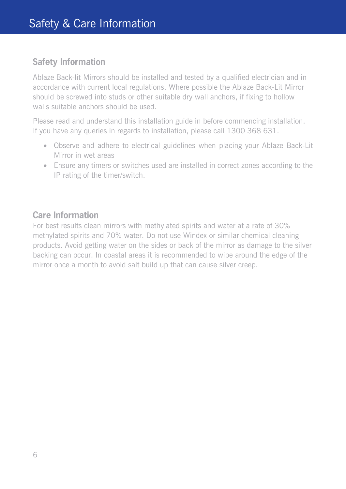#### **Safety Information**

Ablaze Back-lit Mirrors should be installed and tested by a qualified electrician and in accordance with current local regulations. Where possible the Ablaze Back-Lit Mirror should be screwed into studs or other suitable dry wall anchors, if fixing to hollow walls suitable anchors should be used.

Please read and understand this installation guide in before commencing installation. If you have any queries in regards to installation, please call 1300 368 631.

- Observe and adhere to electrical guidelines when placing your Ablaze Back-Lit Mirror in wet areas
- Ensure any timers or switches used are installed in correct zones according to the IP rating of the timer/switch.

#### **Care Information**

For best results clean mirrors with methylated spirits and water at a rate of 30% methylated spirits and 70% water. Do not use Windex or similar chemical cleaning products. Avoid getting water on the sides or back of the mirror as damage to the silver backing can occur. In coastal areas it is recommended to wipe around the edge of the mirror once a month to avoid salt build up that can cause silver creep.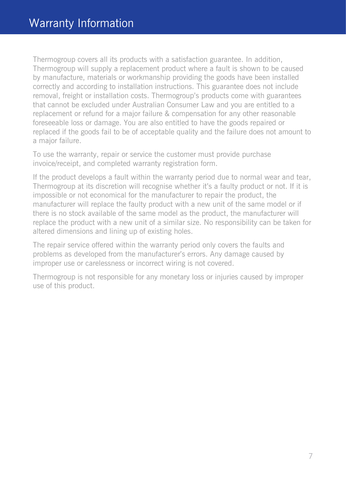Thermogroup covers all its products with a satisfaction guarantee. In addition, Thermogroup will supply a replacement product where a fault is shown to be caused by manufacture, materials or workmanship providing the goods have been installed correctly and according to installation instructions. This guarantee does not include removal, freight or installation costs. Thermogroup's products come with guarantees that cannot be excluded under Australian Consumer Law and you are entitled to a replacement or refund for a major failure & compensation for any other reasonable foreseeable loss or damage. You are also entitled to have the goods repaired or replaced if the goods fail to be of acceptable quality and the failure does not amount to a major failure.

To use the warranty, repair or service the customer must provide purchase invoice/receipt, and completed warranty registration form.

If the product develops a fault within the warranty period due to normal wear and tear, Thermogroup at its discretion will recognise whether it's a faulty product or not. If it is impossible or not economical for the manufacturer to repair the product, the manufacturer will replace the faulty product with a new unit of the same model or if there is no stock available of the same model as the product, the manufacturer will replace the product with a new unit of a similar size. No responsibility can be taken for altered dimensions and lining up of existing holes.

The repair service offered within the warranty period only covers the faults and problems as developed from the manufacturer's errors. Any damage caused by improper use or carelessness or incorrect wiring is not covered.

Thermogroup is not responsible for any monetary loss or injuries caused by improper use of this product.